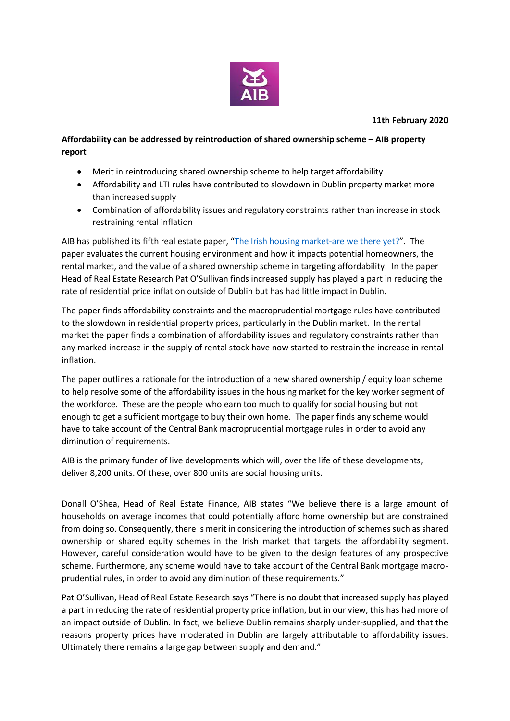

## **Affordability can be addressed by reintroduction of shared ownership scheme – AIB property report**

- Merit in reintroducing shared ownership scheme to help target affordability
- Affordability and LTI rules have contributed to slowdown in Dublin property market more than increased supply
- Combination of affordability issues and regulatory constraints rather than increase in stock restraining rental inflation

AIB has published its fifth real estate paper, "[The Irish housing market-are we there yet?](https://aib.ie/corporate/real-estate-finance/news-and-research)". The paper evaluates the current housing environment and how it impacts potential homeowners, the rental market, and the value of a shared ownership scheme in targeting affordability. In the paper Head of Real Estate Research Pat O'Sullivan finds increased supply has played a part in reducing the rate of residential price inflation outside of Dublin but has had little impact in Dublin.

The paper finds affordability constraints and the macroprudential mortgage rules have contributed to the slowdown in residential property prices, particularly in the Dublin market. In the rental market the paper finds a combination of affordability issues and regulatory constraints rather than any marked increase in the supply of rental stock have now started to restrain the increase in rental inflation.

The paper outlines a rationale for the introduction of a new shared ownership / equity loan scheme to help resolve some of the affordability issues in the housing market for the key worker segment of the workforce. These are the people who earn too much to qualify for social housing but not enough to get a sufficient mortgage to buy their own home. The paper finds any scheme would have to take account of the Central Bank macroprudential mortgage rules in order to avoid any diminution of requirements.

AIB is the primary funder of live developments which will, over the life of these developments, deliver 8,200 units. Of these, over 800 units are social housing units.

Donall O'Shea, Head of Real Estate Finance, AIB states "We believe there is a large amount of households on average incomes that could potentially afford home ownership but are constrained from doing so. Consequently, there is merit in considering the introduction of schemes such as shared ownership or shared equity schemes in the Irish market that targets the affordability segment. However, careful consideration would have to be given to the design features of any prospective scheme. Furthermore, any scheme would have to take account of the Central Bank mortgage macroprudential rules, in order to avoid any diminution of these requirements."

Pat O'Sullivan, Head of Real Estate Research says "There is no doubt that increased supply has played a part in reducing the rate of residential property price inflation, but in our view, this has had more of an impact outside of Dublin. In fact, we believe Dublin remains sharply under-supplied, and that the reasons property prices have moderated in Dublin are largely attributable to affordability issues. Ultimately there remains a large gap between supply and demand."